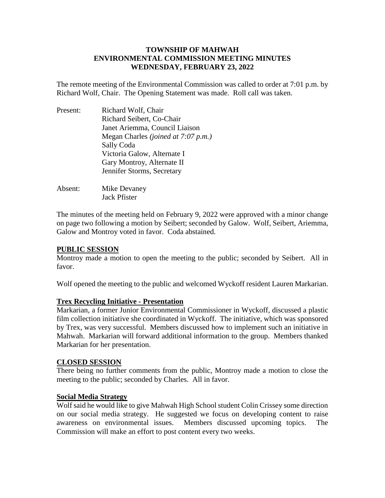# **TOWNSHIP OF MAHWAH ENVIRONMENTAL COMMISSION MEETING MINUTES WEDNESDAY, FEBRUARY 23, 2022**

The remote meeting of the Environmental Commission was called to order at 7:01 p.m. by Richard Wolf, Chair. The Opening Statement was made. Roll call was taken.

| Present: | Richard Wolf, Chair                        |
|----------|--------------------------------------------|
|          | Richard Seibert, Co-Chair                  |
|          | Janet Ariemma, Council Liaison             |
|          | Megan Charles <i>(joined at 7:07 p.m.)</i> |
|          | Sally Coda                                 |
|          | Victoria Galow, Alternate I                |
|          | Gary Montroy, Alternate II                 |
|          | Jennifer Storms, Secretary                 |
|          |                                            |

Absent: Mike Devaney Jack Pfister

The minutes of the meeting held on February 9, 2022 were approved with a minor change on page two following a motion by Seibert; seconded by Galow. Wolf, Seibert, Ariemma, Galow and Montroy voted in favor. Coda abstained.

# **PUBLIC SESSION**

Montroy made a motion to open the meeting to the public; seconded by Seibert. All in favor.

Wolf opened the meeting to the public and welcomed Wyckoff resident Lauren Markarian.

# **Trex Recycling Initiative - Presentation**

Markarian, a former Junior Environmental Commissioner in Wyckoff, discussed a plastic film collection initiative she coordinated in Wyckoff. The initiative, which was sponsored by Trex, was very successful. Members discussed how to implement such an initiative in Mahwah. Markarian will forward additional information to the group. Members thanked Markarian for her presentation.

# **CLOSED SESSION**

There being no further comments from the public, Montroy made a motion to close the meeting to the public; seconded by Charles. All in favor.

# **Social Media Strategy**

Wolf said he would like to give Mahwah High School student Colin Crissey some direction on our social media strategy. He suggested we focus on developing content to raise awareness on environmental issues. Members discussed upcoming topics. The Commission will make an effort to post content every two weeks.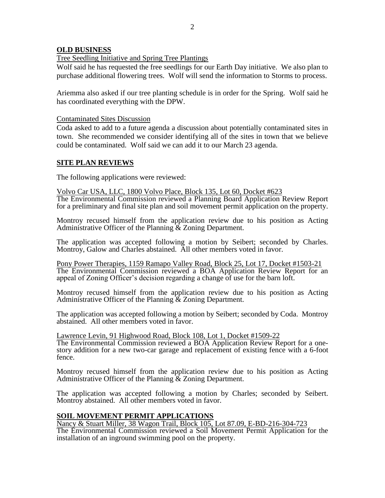#### **OLD BUSINESS**

Tree Seedling Initiative and Spring Tree Plantings

Wolf said he has requested the free seedlings for our Earth Day initiative. We also plan to purchase additional flowering trees. Wolf will send the information to Storms to process.

Ariemma also asked if our tree planting schedule is in order for the Spring. Wolf said he has coordinated everything with the DPW.

#### Contaminated Sites Discussion

Coda asked to add to a future agenda a discussion about potentially contaminated sites in town. She recommended we consider identifying all of the sites in town that we believe could be contaminated. Wolf said we can add it to our March 23 agenda.

# **SITE PLAN REVIEWS**

The following applications were reviewed:

Volvo Car USA, LLC, 1800 Volvo Place, Block 135, Lot 60, Docket #623 The Environmental Commission reviewed a Planning Board Application Review Report for a preliminary and final site plan and soil movement permit application on the property.

Montroy recused himself from the application review due to his position as Acting Administrative Officer of the Planning & Zoning Department.

The application was accepted following a motion by Seibert; seconded by Charles. Montroy, Galow and Charles abstained. All other members voted in favor.

Pony Power Therapies, 1159 Ramapo Valley Road, Block 25, Lot 17, Docket #1503-21 The Environmental Commission reviewed a BOA Application Review Report for an appeal of Zoning Officer's decision regarding a change of use for the barn loft.

Montroy recused himself from the application review due to his position as Acting Administrative Officer of the Planning & Zoning Department.

The application was accepted following a motion by Seibert; seconded by Coda. Montroy abstained. All other members voted in favor.

Lawrence Levin, 91 Highwood Road, Block 108, Lot 1, Docket #1509-22 The Environmental Commission reviewed a BOA Application Review Report for a onestory addition for a new two-car garage and replacement of existing fence with a 6-foot fence.

Montroy recused himself from the application review due to his position as Acting Administrative Officer of the Planning & Zoning Department.

The application was accepted following a motion by Charles; seconded by Seibert. Montroy abstained. All other members voted in favor.

# **SOIL MOVEMENT PERMIT APPLICATIONS**

Nancy & Stuart Miller, 38 Wagon Trail, Block 105, Lot 87.09, E-BD-216-304-723

The Environmental Commission reviewed a Soil Movement Permit Application for the installation of an inground swimming pool on the property.